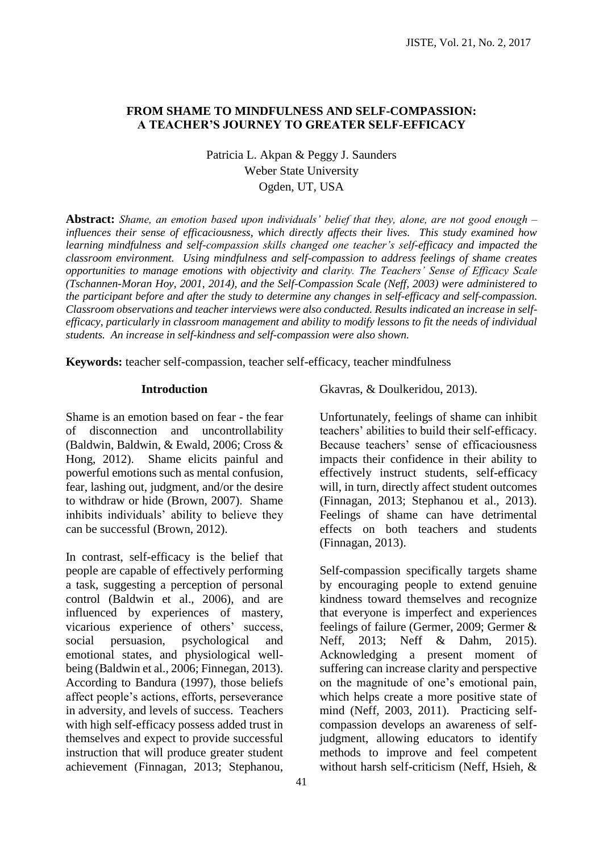## **FROM SHAME TO MINDFULNESS AND SELF-COMPASSION: A TEACHER'S JOURNEY TO GREATER SELF-EFFICACY**

Patricia L. Akpan & Peggy J. Saunders Weber State University Ogden, UT, USA

**Abstract:** *Shame, an emotion based upon individuals' belief that they, alone, are not good enough – influences their sense of efficaciousness, which directly affects their lives. This study examined how learning mindfulness and self-compassion skills changed one teacher's self-efficacy and impacted the classroom environment. Using mindfulness and self-compassion to address feelings of shame creates opportunities to manage emotions with objectivity and clarity. The Teachers' Sense of Efficacy Scale (Tschannen-Moran Hoy, 2001, 2014), and the Self-Compassion Scale (Neff, 2003) were administered to the participant before and after the study to determine any changes in self-efficacy and self-compassion. Classroom observations and teacher interviews were also conducted. Results indicated an increase in selfefficacy, particularly in classroom management and ability to modify lessons to fit the needs of individual students. An increase in self-kindness and self-compassion were also shown.*

**Keywords:** teacher self-compassion, teacher self-efficacy, teacher mindfulness

#### **Introduction**

Shame is an emotion based on fear - the fear of disconnection and uncontrollability (Baldwin, Baldwin, & Ewald, 2006; Cross & Hong, 2012). Shame elicits painful and powerful emotions such as mental confusion, fear, lashing out, judgment, and/or the desire to withdraw or hide (Brown, 2007). Shame inhibits individuals' ability to believe they can be successful (Brown, 2012).

In contrast, self-efficacy is the belief that people are capable of effectively performing a task, suggesting a perception of personal control (Baldwin et al., 2006), and are influenced by experiences of mastery, vicarious experience of others' success, social persuasion, psychological and emotional states, and physiological wellbeing (Baldwin et al., 2006; Finnegan, 2013). According to Bandura (1997), those beliefs affect people's actions, efforts, perseverance in adversity, and levels of success. Teachers with high self-efficacy possess added trust in themselves and expect to provide successful instruction that will produce greater student achievement (Finnagan, 2013; Stephanou, Gkavras, & Doulkeridou, 2013).

Unfortunately, feelings of shame can inhibit teachers' abilities to build their self-efficacy. Because teachers' sense of efficaciousness impacts their confidence in their ability to effectively instruct students, self-efficacy will, in turn, directly affect student outcomes (Finnagan, 2013; Stephanou et al., 2013). Feelings of shame can have detrimental effects on both teachers and students (Finnagan, 2013).

Self-compassion specifically targets shame by encouraging people to extend genuine kindness toward themselves and recognize that everyone is imperfect and experiences feelings of failure (Germer, 2009; Germer & Neff, 2013; Neff & Dahm, 2015). Acknowledging a present moment of suffering can increase clarity and perspective on the magnitude of one's emotional pain, which helps create a more positive state of mind (Neff, 2003, 2011). Practicing selfcompassion develops an awareness of selfjudgment, allowing educators to identify methods to improve and feel competent without harsh self-criticism (Neff, Hsieh, &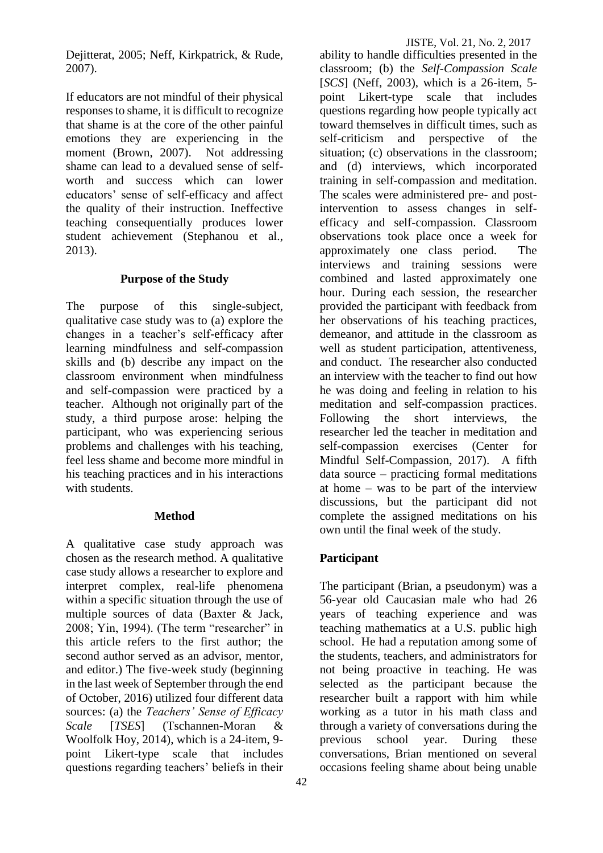Dejitterat, 2005; Neff, Kirkpatrick, & Rude, 2007).

If educators are not mindful of their physical responses to shame, it is difficult to recognize that shame is at the core of the other painful emotions they are experiencing in the moment (Brown, 2007). Not addressing shame can lead to a devalued sense of selfworth and success which can lower educators' sense of self-efficacy and affect the quality of their instruction. Ineffective teaching consequentially produces lower student achievement (Stephanou et al., 2013).

### **Purpose of the Study**

The purpose of this single-subject, qualitative case study was to (a) explore the changes in a teacher's self-efficacy after learning mindfulness and self-compassion skills and (b) describe any impact on the classroom environment when mindfulness and self-compassion were practiced by a teacher. Although not originally part of the study, a third purpose arose: helping the participant, who was experiencing serious problems and challenges with his teaching, feel less shame and become more mindful in his teaching practices and in his interactions with students.

### **Method**

A qualitative case study approach was chosen as the research method. A qualitative case study allows a researcher to explore and interpret complex, real-life phenomena within a specific situation through the use of multiple sources of data (Baxter & Jack, 2008; Yin, 1994). (The term "researcher" in this article refers to the first author; the second author served as an advisor, mentor, and editor.) The five-week study (beginning in the last week of September through the end of October, 2016) utilized four different data sources: (a) the *Teachers' Sense of Efficacy Scale* [*TSES*] (Tschannen-Moran & Woolfolk Hoy, 2014), which is a 24-item, 9 point Likert-type scale that includes questions regarding teachers' beliefs in their

JISTE, Vol. 21, No. 2, 2017 ability to handle difficulties presented in the classroom; (b) the *Self-Compassion Scale*  [*SCS*] (Neff, 2003), which is a 26-item, 5 point Likert-type scale that includes questions regarding how people typically act toward themselves in difficult times, such as self-criticism and perspective of the situation; (c) observations in the classroom; and (d) interviews, which incorporated training in self-compassion and meditation. The scales were administered pre- and postintervention to assess changes in selfefficacy and self-compassion. Classroom observations took place once a week for approximately one class period. The interviews and training sessions were combined and lasted approximately one hour. During each session, the researcher provided the participant with feedback from her observations of his teaching practices, demeanor, and attitude in the classroom as well as student participation, attentiveness,

and conduct. The researcher also conducted an interview with the teacher to find out how he was doing and feeling in relation to his meditation and self-compassion practices. Following the short interviews, the researcher led the teacher in meditation and self-compassion exercises (Center for Mindful Self-Compassion, 2017). A fifth data source – practicing formal meditations at home – was to be part of the interview discussions, but the participant did not complete the assigned meditations on his own until the final week of the study.

# **Participant**

The participant (Brian, a pseudonym) was a 56-year old Caucasian male who had 26 years of teaching experience and was teaching mathematics at a U.S. public high school. He had a reputation among some of the students, teachers, and administrators for not being proactive in teaching. He was selected as the participant because the researcher built a rapport with him while working as a tutor in his math class and through a variety of conversations during the previous school year. During these conversations, Brian mentioned on several occasions feeling shame about being unable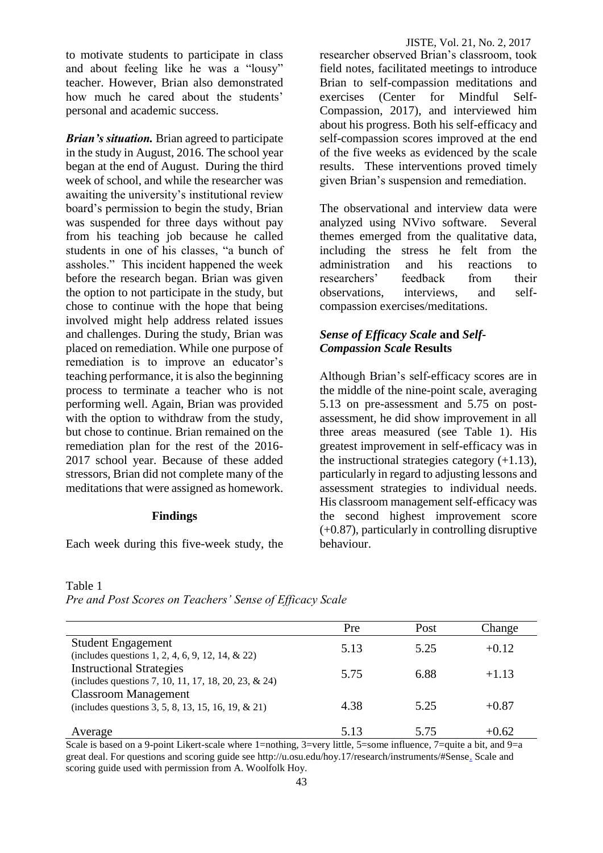to motivate students to participate in class and about feeling like he was a "lousy" teacher. However, Brian also demonstrated how much he cared about the students' personal and academic success.

*Brian's situation.* Brian agreed to participate in the study in August, 2016. The school year began at the end of August. During the third week of school, and while the researcher was awaiting the university's institutional review board's permission to begin the study, Brian was suspended for three days without pay from his teaching job because he called students in one of his classes, "a bunch of assholes." This incident happened the week before the research began. Brian was given the option to not participate in the study, but chose to continue with the hope that being involved might help address related issues and challenges. During the study, Brian was placed on remediation. While one purpose of remediation is to improve an educator's teaching performance, it is also the beginning process to terminate a teacher who is not performing well. Again, Brian was provided with the option to withdraw from the study. but chose to continue. Brian remained on the remediation plan for the rest of the 2016- 2017 school year. Because of these added stressors, Brian did not complete many of the meditations that were assigned as homework.

### **Findings**

Each week during this five-week study, the

researcher observed Brian's classroom, took field notes, facilitated meetings to introduce Brian to self-compassion meditations and exercises (Center for Mindful Self-Compassion, 2017), and interviewed him about his progress. Both his self-efficacy and self-compassion scores improved at the end of the five weeks as evidenced by the scale results. These interventions proved timely given Brian's suspension and remediation.

The observational and interview data were analyzed using NVivo software. Several themes emerged from the qualitative data, including the stress he felt from the administration and his reactions to researchers' feedback from their observations, interviews, and selfcompassion exercises/meditations.

## *Sense of Efficacy Scale* **and** *Self-Compassion Scale* **Results**

Although Brian's self-efficacy scores are in the middle of the nine-point scale, averaging 5.13 on pre-assessment and 5.75 on postassessment, he did show improvement in all three areas measured (see Table 1). His greatest improvement in self-efficacy was in the instructional strategies category  $(+1.13)$ , particularly in regard to adjusting lessons and assessment strategies to individual needs. His classroom management self-efficacy was the second highest improvement score (+0.87), particularly in controlling disruptive behaviour.

#### Table 1

*Pre and Post Scores on Teachers' Sense of Efficacy Scale* 

|                                                                                         | Pre  | Post | Change  |
|-----------------------------------------------------------------------------------------|------|------|---------|
| <b>Student Engagement</b><br>(includes questions 1, 2, 4, 6, 9, 12, 14, $& 22)$ )       | 5.13 | 5.25 | $+0.12$ |
| <b>Instructional Strategies</b><br>(includes questions 7, 10, 11, 17, 18, 20, 23, & 24) | 5.75 | 6.88 | $+1.13$ |
| <b>Classroom Management</b><br>(includes questions 3, 5, 8, 13, 15, 16, 19, & 21)       | 4.38 | 5.25 | $+0.87$ |
| Average                                                                                 | 5.13 | 5.75 | $+0.62$ |

Scale is based on a 9-point Likert-scale where 1=nothing, 3=very little, 5=some influence, 7=quite a bit, and 9=a great deal. For questions and scoring guide see http://u.osu.edu/hoy.17/research/instruments/#Sense. Scale and scoring guide used with permission from A. Woolfolk Hoy.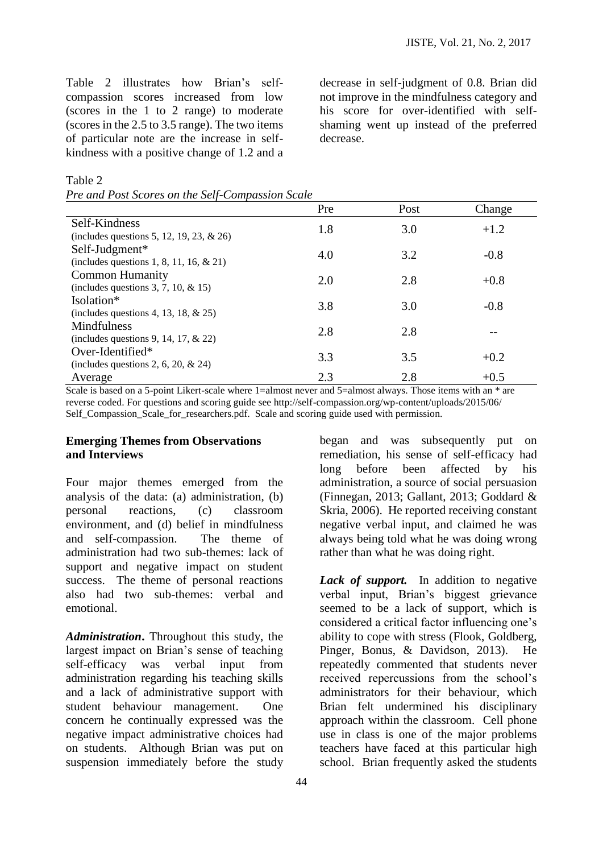Table 2 illustrates how Brian's selfcompassion scores increased from low (scores in the 1 to 2 range) to moderate (scores in the 2.5 to 3.5 range). The two items of particular note are the increase in selfkindness with a positive change of 1.2 and a decrease in self-judgment of 0.8. Brian did not improve in the mindfulness category and his score for over-identified with selfshaming went up instead of the preferred decrease.

Table 2

| Pre and Post Scores on the Self-Compassion Scale |  |
|--------------------------------------------------|--|
|--------------------------------------------------|--|

|                                             | Pre | Post | Change |
|---------------------------------------------|-----|------|--------|
| Self-Kindness                               | 1.8 | 3.0  | $+1.2$ |
| (includes questions 5, 12, 19, 23, $& 26$ ) |     |      |        |
| Self-Judgment*                              | 4.0 | 3.2  | $-0.8$ |
| (includes questions 1, 8, 11, 16, $& 21$ )  |     |      |        |
| <b>Common Humanity</b>                      | 2.0 | 2.8  | $+0.8$ |
| (includes questions 3, 7, 10, $&$ 15)       |     |      |        |
| Isolation*                                  | 3.8 | 3.0  | $-0.8$ |
| (includes questions 4, 13, 18, $& 25$ )     |     |      |        |
| Mindfulness                                 | 2.8 | 2.8  |        |
| (includes questions 9, 14, 17, $& 22$ )     |     |      |        |
| Over-Identified*                            | 3.3 | 3.5  | $+0.2$ |
| (includes questions 2, 6, 20, $\&$ 24)      |     |      |        |
| Average                                     | 2.3 | 2.8  | $+0.5$ |

Scale is based on a 5-point Likert-scale where 1=almost never and 5=almost always. Those items with an \* are reverse coded. For questions and scoring guide see http://self-compassion.org/wp-content/uploads/2015/06/ Self\_Compassion\_Scale\_for\_researchers.pdf. Scale and scoring guide used with permission.

### **Emerging Themes from Observations and Interviews**

Four major themes emerged from the analysis of the data: (a) administration, (b) personal reactions, (c) classroom environment, and (d) belief in mindfulness and self-compassion. The theme of administration had two sub-themes: lack of support and negative impact on student success. The theme of personal reactions also had two sub-themes: verbal and emotional.

*Administration***.** Throughout this study, the largest impact on Brian's sense of teaching self-efficacy was verbal input from administration regarding his teaching skills and a lack of administrative support with student behaviour management. One concern he continually expressed was the negative impact administrative choices had on students. Although Brian was put on suspension immediately before the study began and was subsequently put on remediation, his sense of self-efficacy had long before been affected by his administration, a source of social persuasion (Finnegan, 2013; Gallant, 2013; Goddard & Skria, 2006). He reported receiving constant negative verbal input, and claimed he was always being told what he was doing wrong rather than what he was doing right.

Lack of support. In addition to negative verbal input, Brian's biggest grievance seemed to be a lack of support, which is considered a critical factor influencing one's ability to cope with stress (Flook, Goldberg, Pinger, Bonus, & Davidson, 2013). He repeatedly commented that students never received repercussions from the school's administrators for their behaviour, which Brian felt undermined his disciplinary approach within the classroom. Cell phone use in class is one of the major problems teachers have faced at this particular high school. Brian frequently asked the students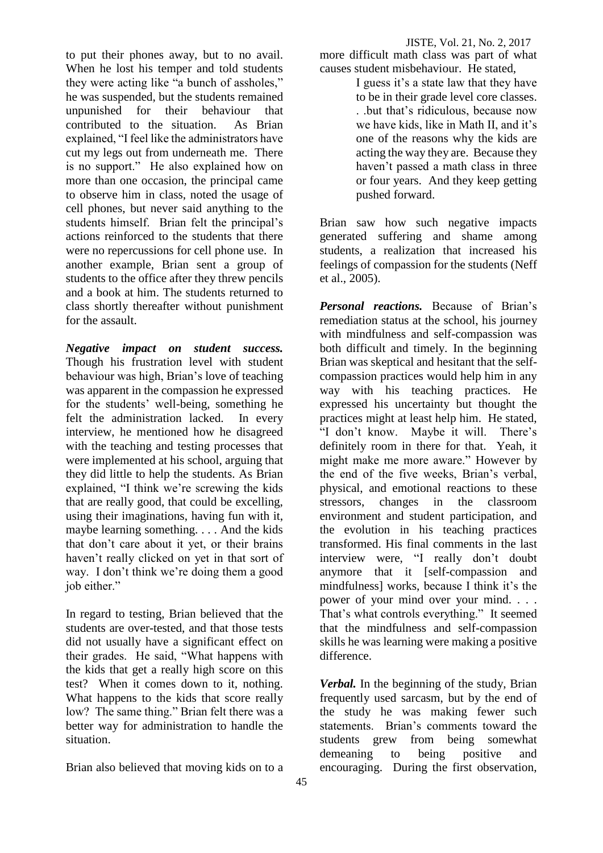to put their phones away, but to no avail. When he lost his temper and told students they were acting like "a bunch of assholes," he was suspended, but the students remained unpunished for their behaviour that<br>contributed to the situation. As Brian contributed to the situation. explained, "I feel like the administrators have cut my legs out from underneath me. There is no support." He also explained how on more than one occasion, the principal came to observe him in class, noted the usage of cell phones, but never said anything to the students himself. Brian felt the principal's actions reinforced to the students that there were no repercussions for cell phone use. In another example, Brian sent a group of students to the office after they threw pencils and a book at him. The students returned to class shortly thereafter without punishment for the assault.

*Negative impact on student success.*  Though his frustration level with student behaviour was high, Brian's love of teaching was apparent in the compassion he expressed for the students' well-being, something he felt the administration lacked. In every interview, he mentioned how he disagreed with the teaching and testing processes that were implemented at his school, arguing that they did little to help the students. As Brian explained, "I think we're screwing the kids that are really good, that could be excelling, using their imaginations, having fun with it, maybe learning something. . . . And the kids that don't care about it yet, or their brains haven't really clicked on yet in that sort of way. I don't think we're doing them a good job either."

In regard to testing, Brian believed that the students are over-tested, and that those tests did not usually have a significant effect on their grades. He said, "What happens with the kids that get a really high score on this test? When it comes down to it, nothing. What happens to the kids that score really low? The same thing." Brian felt there was a better way for administration to handle the situation.

Brian also believed that moving kids on to a

more difficult math class was part of what causes student misbehaviour. He stated,

> I guess it's a state law that they have to be in their grade level core classes. . .but that's ridiculous, because now we have kids, like in Math II, and it's one of the reasons why the kids are acting the way they are. Because they haven't passed a math class in three or four years. And they keep getting pushed forward.

Brian saw how such negative impacts generated suffering and shame among students, a realization that increased his feelings of compassion for the students (Neff et al., 2005).

*Personal reactions.* Because of Brian's remediation status at the school, his journey with mindfulness and self-compassion was both difficult and timely. In the beginning Brian was skeptical and hesitant that the selfcompassion practices would help him in any way with his teaching practices. He expressed his uncertainty but thought the practices might at least help him. He stated, "I don't know. Maybe it will. There's definitely room in there for that. Yeah, it might make me more aware." However by the end of the five weeks, Brian's verbal, physical, and emotional reactions to these stressors, changes in the classroom environment and student participation, and the evolution in his teaching practices transformed. His final comments in the last interview were, "I really don't doubt anymore that it [self-compassion and mindfulness] works, because I think it's the power of your mind over your mind. . . . That's what controls everything." It seemed that the mindfulness and self-compassion skills he was learning were making a positive difference.

*Verbal.* In the beginning of the study, Brian frequently used sarcasm, but by the end of the study he was making fewer such statements. Brian's comments toward the students grew from being somewhat demeaning to being positive and encouraging. During the first observation,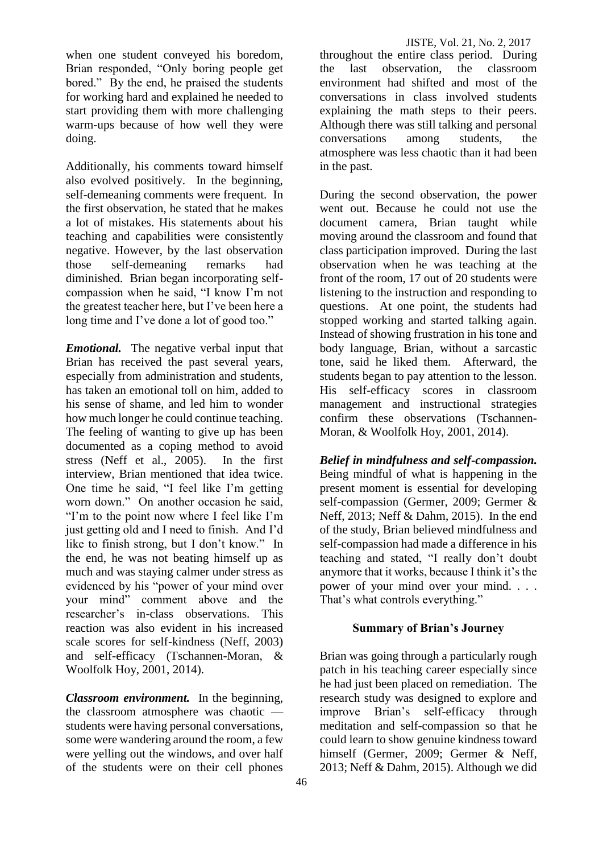when one student conveyed his boredom, Brian responded, "Only boring people get bored." By the end, he praised the students for working hard and explained he needed to start providing them with more challenging warm-ups because of how well they were doing.

Additionally, his comments toward himself also evolved positively. In the beginning, self-demeaning comments were frequent. In the first observation, he stated that he makes a lot of mistakes. His statements about his teaching and capabilities were consistently negative. However, by the last observation those self-demeaning remarks had diminished. Brian began incorporating selfcompassion when he said, "I know I'm not the greatest teacher here, but I've been here a long time and I've done a lot of good too."

*Emotional.* The negative verbal input that Brian has received the past several years, especially from administration and students, has taken an emotional toll on him, added to his sense of shame, and led him to wonder how much longer he could continue teaching. The feeling of wanting to give up has been documented as a coping method to avoid stress (Neff et al., 2005). In the first interview, Brian mentioned that idea twice. One time he said, "I feel like I'm getting worn down." On another occasion he said, "I'm to the point now where I feel like I'm just getting old and I need to finish. And I'd like to finish strong, but I don't know." In the end, he was not beating himself up as much and was staying calmer under stress as evidenced by his "power of your mind over your mind" comment above and the researcher's in-class observations. This reaction was also evident in his increased scale scores for self-kindness (Neff, 2003) and self-efficacy (Tschannen-Moran, & Woolfolk Hoy, 2001, 2014).

*Classroom environment.*In the beginning, the classroom atmosphere was chaotic students were having personal conversations, some were wandering around the room, a few were yelling out the windows, and over half of the students were on their cell phones throughout the entire class period. During the last observation, the classroom environment had shifted and most of the conversations in class involved students explaining the math steps to their peers. Although there was still talking and personal conversations among students, the atmosphere was less chaotic than it had been in the past.

During the second observation, the power went out. Because he could not use the document camera, Brian taught while moving around the classroom and found that class participation improved. During the last observation when he was teaching at the front of the room, 17 out of 20 students were listening to the instruction and responding to questions. At one point, the students had stopped working and started talking again. Instead of showing frustration in his tone and body language, Brian, without a sarcastic tone, said he liked them. Afterward, the students began to pay attention to the lesson. His self-efficacy scores in classroom management and instructional strategies confirm these observations (Tschannen-Moran, & Woolfolk Hoy, 2001, 2014).

*Belief in mindfulness and self-compassion.* Being mindful of what is happening in the present moment is essential for developing self-compassion (Germer, 2009; Germer & Neff, 2013; Neff & Dahm, 2015). In the end of the study, Brian believed mindfulness and self-compassion had made a difference in his teaching and stated, "I really don't doubt anymore that it works, because I think it's the power of your mind over your mind. . . . That's what controls everything."

# **Summary of Brian's Journey**

Brian was going through a particularly rough patch in his teaching career especially since he had just been placed on remediation. The research study was designed to explore and improve Brian's self-efficacy through meditation and self-compassion so that he could learn to show genuine kindness toward himself (Germer, 2009; Germer & Neff, 2013; Neff & Dahm, 2015). Although we did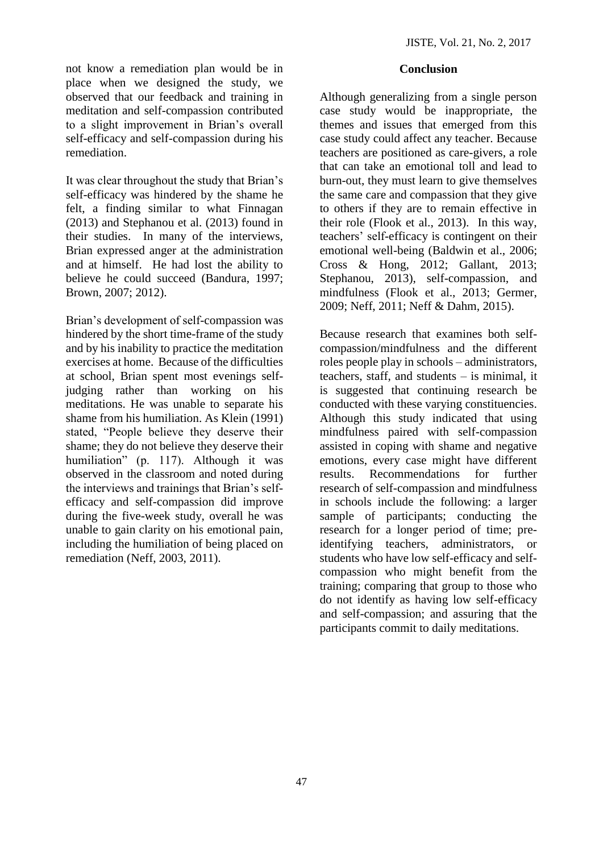not know a remediation plan would be in place when we designed the study, we observed that our feedback and training in meditation and self-compassion contributed to a slight improvement in Brian's overall self-efficacy and self-compassion during his remediation.

It was clear throughout the study that Brian's self-efficacy was hindered by the shame he felt, a finding similar to what Finnagan (2013) and Stephanou et al. (2013) found in their studies. In many of the interviews, Brian expressed anger at the administration and at himself. He had lost the ability to believe he could succeed (Bandura, 1997; Brown, 2007; 2012).

Brian's development of self-compassion was hindered by the short time-frame of the study and by his inability to practice the meditation exercises at home. Because of the difficulties at school, Brian spent most evenings selfjudging rather than working on his meditations. He was unable to separate his shame from his humiliation. As Klein (1991) stated, "People believe they deserve their shame; they do not believe they deserve their humiliation" (p. 117). Although it was observed in the classroom and noted during the interviews and trainings that Brian's selfefficacy and self-compassion did improve during the five-week study, overall he was unable to gain clarity on his emotional pain, including the humiliation of being placed on remediation (Neff, 2003, 2011).

### **Conclusion**

Although generalizing from a single person case study would be inappropriate, the themes and issues that emerged from this case study could affect any teacher. Because teachers are positioned as care-givers, a role that can take an emotional toll and lead to burn-out, they must learn to give themselves the same care and compassion that they give to others if they are to remain effective in their role (Flook et al., 2013). In this way, teachers' self-efficacy is contingent on their emotional well-being (Baldwin et al., 2006; Cross & Hong, 2012; Gallant, 2013; Stephanou, 2013), self-compassion, and mindfulness (Flook et al., 2013; Germer, 2009; Neff, 2011; Neff & Dahm, 2015).

Because research that examines both selfcompassion/mindfulness and the different roles people play in schools – administrators, teachers, staff, and students – is minimal, it is suggested that continuing research be conducted with these varying constituencies. Although this study indicated that using mindfulness paired with self-compassion assisted in coping with shame and negative emotions, every case might have different results. Recommendations for further research of self-compassion and mindfulness in schools include the following: a larger sample of participants; conducting the research for a longer period of time; preidentifying teachers, administrators, or students who have low self-efficacy and selfcompassion who might benefit from the training; comparing that group to those who do not identify as having low self-efficacy and self-compassion; and assuring that the participants commit to daily meditations.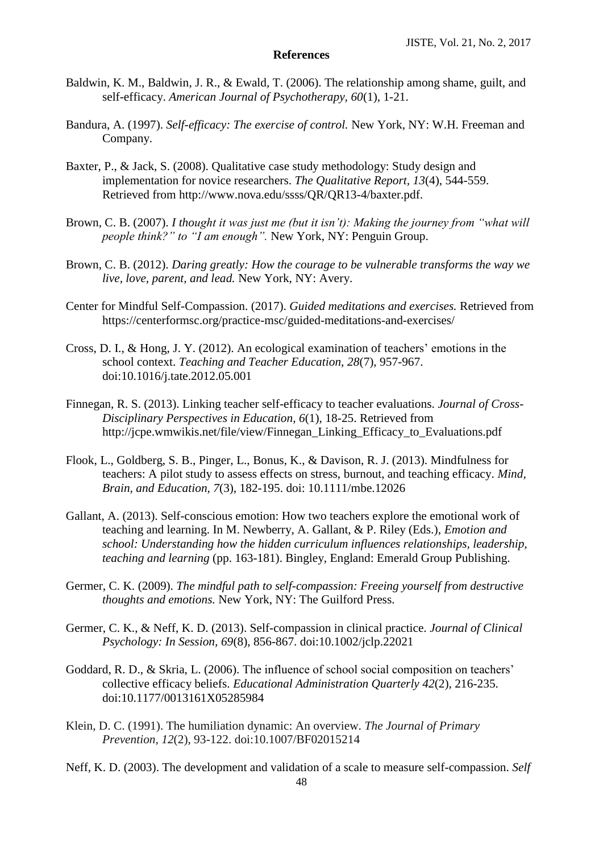#### **References**

- Baldwin, K. M., Baldwin, J. R., & Ewald, T. (2006). The relationship among shame, guilt, and self-efficacy. *American Journal of Psychotherapy, 60*(1), 1-21.
- Bandura, A. (1997). *Self-efficacy: The exercise of control.* New York, NY: W.H. Freeman and Company.
- Baxter, P., & Jack, S. (2008). Qualitative case study methodology: Study design and implementation for novice researchers. *The Qualitative Report, 13*(4), 544-559. Retrieved from http://www.nova.edu/ssss/QR/QR13-4/baxter.pdf.
- Brown, C. B. (2007). *I thought it was just me (but it isn't): Making the journey from "what will people think?" to "I am enough".* New York, NY: Penguin Group.
- Brown, C. B. (2012). *Daring greatly: How the courage to be vulnerable transforms the way we live, love, parent, and lead.* New York, NY: Avery.
- Center for Mindful Self-Compassion. (2017). *Guided meditations and exercises.* Retrieved from https://centerformsc.org/practice-msc/guided-meditations-and-exercises/
- Cross, D. I., & Hong, J. Y. (2012). An ecological examination of teachers' emotions in the school context. *Teaching and Teacher Education, 28*(7), 957-967. doi:10.1016/j.tate.2012.05.001
- Finnegan, R. S. (2013). Linking teacher self-efficacy to teacher evaluations. *Journal of Cross-Disciplinary Perspectives in Education, 6*(1), 18-25. Retrieved from [http://jcpe.wmwikis.net/file/view/Finnegan\\_Linking\\_Efficacy\\_to\\_Evaluations.pdf](http://jcpe.wmwikis.net/file/view/Finnegan_Linking_Efficacy_to_Evaluations.pdf)
- Flook, L., Goldberg, S. B., Pinger, L., Bonus, K., & Davison, R. J. (2013). Mindfulness for teachers: A pilot study to assess effects on stress, burnout, and teaching efficacy. *Mind, Brain, and Education, 7*(3), 182-195. doi: 10.1111/mbe.12026
- Gallant, A. (2013). Self-conscious emotion: How two teachers explore the emotional work of teaching and learning. In M. Newberry, A. Gallant, & P. Riley (Eds.), *Emotion and school: Understanding how the hidden curriculum influences relationships, leadership, teaching and learning* (pp. 163-181). Bingley, England: Emerald Group Publishing.
- Germer, C. K. (2009). *The mindful path to self-compassion: Freeing yourself from destructive thoughts and emotions.* New York, NY: The Guilford Press.
- Germer, C. K., & Neff, K. D. (2013). Self-compassion in clinical practice. *Journal of Clinical Psychology: In Session, 69*(8), 856-867. doi:10.1002/jclp.22021
- Goddard, R. D., & Skria, L. (2006). The influence of school social composition on teachers' collective efficacy beliefs. *Educational Administration Quarterly 42*(2), 216-235. doi:10.1177/0013161X05285984
- Klein, D. C. (1991). The humiliation dynamic: An overview. *The Journal of Primary Prevention, 12*(2), 93-122. doi:10.1007/BF02015214

Neff, K. D. (2003). The development and validation of a scale to measure self-compassion. *Self*